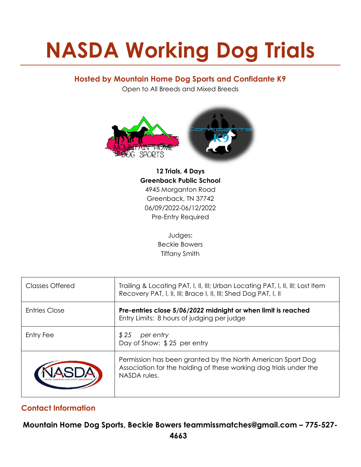# NASDA Working Dog Trials

## Hosted by Mountain Home Dog Sports and Confidante K9

Open to All Breeds and Mixed Breeds



12 Trials, 4 Days Greenback Public School 4945 Morganton Road Greenback, TN 37742 06/09/2022-06/12/2022 Pre-Entry Required

> Judges: Beckie Bowers Tiffany Smith

| Classes Offered      | Trailing & Locating PAT, I, II, III; Urban Locating PAT, I, II, III; Lost Item<br>Recovery PAT, I, II, III; Brace I, II, III; Shed Dog PAT, I, II |
|----------------------|---------------------------------------------------------------------------------------------------------------------------------------------------|
| <b>Entries Close</b> | Pre-entries close 5/06/2022 midnight or when limit is reached<br>Entry Limits: 8 hours of judging per judge                                       |
| Entry Fee            | \$25<br>per entry<br>Day of Show: \$25 per entry                                                                                                  |
|                      | Permission has been granted by the North American Sport Dog<br>Association for the holding of these working dog trials under the<br>NASDA rules.  |

# Contact Information

Mountain Home Dog Sports, Beckie Bowers teammissmatches@gmail.com – 775-527-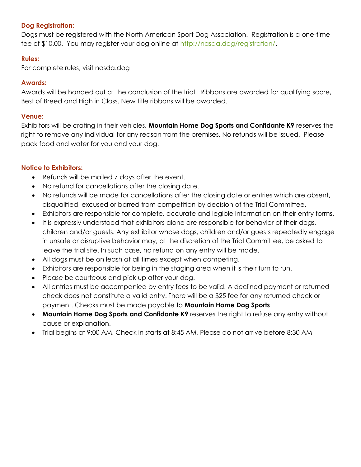## Dog Registration:

Dogs must be registered with the North American Sport Dog Association. Registration is a one-time fee of \$10.00. You may register your dog online at http://nasda.dog/registration/.

## Rules:

For complete rules, visit nasda.dog

#### Awards:

Awards will be handed out at the conclusion of the trial. Ribbons are awarded for qualifying score, Best of Breed and High in Class. New title ribbons will be awarded.

#### Venue:

Exhibitors will be crating in their vehicles, **Mountain Home Dog Sports and Confidante K9** reserves the right to remove any individual for any reason from the premises. No refunds will be issued. Please pack food and water for you and your dog.

## Notice to Exhibitors:

- Refunds will be mailed 7 days after the event.
- No refund for cancellations after the closing date.
- No refunds will be made for cancellations after the closing date or entries which are absent, disqualified, excused or barred from competition by decision of the Trial Committee.
- Exhibitors are responsible for complete, accurate and legible information on their entry forms.
- It is expressly understood that exhibitors alone are responsible for behavior of their dogs, children and/or guests. Any exhibitor whose dogs, children and/or guests repeatedly engage in unsafe or disruptive behavior may, at the discretion of the Trial Committee, be asked to leave the trial site. In such case, no refund on any entry will be made.
- All dogs must be on leash at all times except when competing.
- Exhibitors are responsible for being in the staging area when it is their turn to run.
- Please be courteous and pick up after your dog.
- All entries must be accompanied by entry fees to be valid. A declined payment or returned check does not constitute a valid entry. There will be a \$25 fee for any returned check or payment. Checks must be made payable to Mountain Home Dog Sports.
- Mountain Home Dog Sports and Confidante K9 reserves the right to refuse any entry without cause or explanation.
- Trial begins at 9:00 AM. Check in starts at 8:45 AM, Please do not arrive before 8:30 AM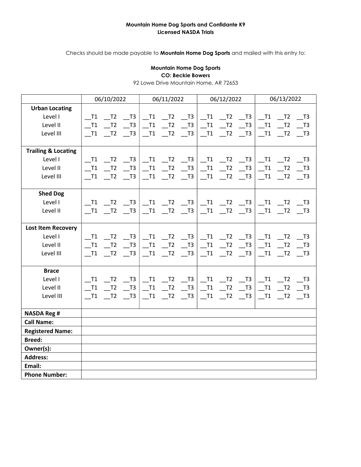#### Mountain Home Dog Sports and Confidante K9 Licensed NASDA Trials

Checks should be made payable to **Mountain Home Dog Sports** and mailed with this entry to:

#### Mountain Home Dog Sports CO: Beckie Bowers

92 Lowe Drive Mountain Home, AR 72653

|                                | 06/10/2022 |                    | 06/11/2022                  |                               |                             | 06/12/2022                                              |                             |                             | 06/13/2022                  |                             |                             |                             |
|--------------------------------|------------|--------------------|-----------------------------|-------------------------------|-----------------------------|---------------------------------------------------------|-----------------------------|-----------------------------|-----------------------------|-----------------------------|-----------------------------|-----------------------------|
| <b>Urban Locating</b>          |            |                    |                             |                               |                             |                                                         |                             |                             |                             |                             |                             |                             |
| Level I                        | T1         | T <sub>2</sub>     | T3                          |                               | $I^{T1}$ $I^{T2}$ $I^{T3}$  |                                                         | $\overline{\phantom{0}}$ T1 | $\overline{\phantom{0}}$ T2 | $\overline{\phantom{0}}$ T3 | $\overline{\phantom{0}}$ T1 | $\overline{\phantom{0}}$ T2 | $\overline{\phantom{0}}$ T3 |
| Level II                       | T1         | T <sub>2</sub>     | T3                          | $\overline{\phantom{0}}^{11}$ |                             | $T^2$ $T^3$                                             | $\_T1$                      | $\_T2$                      | $\overline{\phantom{0}}$ T3 | $\_$ T1                     | $\overline{\phantom{0}}$ T2 | $\overline{\phantom{0}}$ T3 |
| Level III                      | T1         | T <sub>2</sub>     | T3                          |                               | T1 T2                       | $\overline{\phantom{0}}$ T3                             | T1                          | T <sub>2</sub>              | T3                          | T1                          | $-T2$                       | $\overline{\phantom{0}}$ T3 |
|                                |            |                    |                             |                               |                             |                                                         |                             |                             |                             |                             |                             |                             |
| <b>Trailing &amp; Locating</b> |            |                    |                             |                               |                             |                                                         |                             |                             |                             |                             |                             |                             |
| Level I                        | T1         | T <sub>2</sub>     | T3                          | T1                            |                             | $\overline{\phantom{0}}$ T2 $\overline{\phantom{0}}$ T3 | $\_T1$                      | $\overline{\phantom{0}}$ T2 | T3                          | $\overline{\phantom{0}}$ T1 | T <sub>2</sub>              | T3                          |
| Level II                       | T1         | T <sub>2</sub>     | T3                          | T1                            | $-T2$                       | T3                                                      | $\_T1$                      | T <sub>2</sub>              | T3                          | $\_T1$                      | T <sub>2</sub>              | $\_$ T3                     |
| Level III                      | T1         | $-$ T <sub>2</sub> | T3                          | $\_$ T1                       | $\overline{\phantom{0}}$ T2 | $\overline{\phantom{0}}$ T3                             | $\_T1$                      | $\overline{\phantom{0}}$ T2 | $\overline{\phantom{0}}$ T3 | $\_T1$                      | $\_T2$                      | $\overline{\phantom{0}}$ T3 |
|                                |            |                    |                             |                               |                             |                                                         |                             |                             |                             |                             |                             |                             |
| <b>Shed Dog</b>                |            |                    |                             |                               |                             |                                                         |                             |                             |                             |                             |                             |                             |
| Level I                        | T1         | T <sub>2</sub>     | T3                          |                               |                             | T1 T2 T3                                                | $\_T1$                      | $\overline{\phantom{0}}$ T2 | $\overline{\phantom{0}}$ T3 |                             | $T1$ $T2$                   | T3                          |
| Level II                       | T1         | $-$ T <sub>2</sub> | T3                          | $\_T1$                        | $\overline{\phantom{0}}$ T2 | $\overline{\phantom{0}}$ T3                             | $\_T1$                      | $\overline{\phantom{0}}$ T2 | T3                          | $\_T1$                      | T <sub>2</sub>              | $\overline{\phantom{0}}$ T3 |
|                                |            |                    |                             |                               |                             |                                                         |                             |                             |                             |                             |                             |                             |
| <b>Lost Item Recovery</b>      |            |                    |                             |                               |                             |                                                         |                             |                             |                             |                             |                             |                             |
| Level I                        | T1         | T <sub>2</sub>     | T3                          | T1                            |                             | $T2$ $T3$                                               | $\_T1$                      | $\_$ T2                     | T3                          | $\overline{\phantom{0}}$ T1 | T <sub>2</sub>              | T3                          |
| Level II                       | T1         | T <sub>2</sub>     | T3                          | $\_$ T1                       | $\_T2$                      | $\overline{\phantom{0}}$ T3                             | $\_T1$                      | $\_T2$                      | T3                          | $\_T1$                      | $\_T2$                      | $\overline{\phantom{0}}$ T3 |
| Level III                      | T1         | T <sub>2</sub>     | T <sub>3</sub>              | T1                            | T <sub>2</sub>              | T3                                                      | T1                          | T <sub>2</sub>              | T3                          | T1                          | T <sub>2</sub>              | T3                          |
|                                |            |                    |                             |                               |                             |                                                         |                             |                             |                             |                             |                             |                             |
| <b>Brace</b>                   |            |                    |                             |                               |                             |                                                         |                             |                             |                             |                             |                             |                             |
| Level I                        | T1         | $\_T2$             | $\overline{\phantom{0}}$ T3 | $\_$ T1                       |                             | $T2$ T3                                                 | $\overline{\phantom{0}}$ T1 | $\overline{\phantom{0}}$ T2 | $T3$ $T1$                   |                             | $\_T2$                      | $\overline{\phantom{0}}$ T3 |
| Level II                       | T1         | T <sub>2</sub>     | T3                          | $\overline{\phantom{0}}$ T1   | $-T2$                       | $\overline{\phantom{0}}$ T3                             | $\_T1$                      | $\_T2$                      | $\_$ T3                     | $\_$ T1                     | T <sub>2</sub>              | $\overline{\phantom{0}}$ T3 |
| Level III                      | $\_$ T1    | T2                 | $\overline{\phantom{0}}$ T3 | $\overline{\phantom{0}}$ T1   | $-$ T2                      | $-$ T3                                                  | $\_T1$                      | $\_T2$                      | $\overline{\phantom{0}}$ T3 | $\_T1$                      | $\_T2$                      | $\overline{\phantom{0}}$ T3 |
|                                |            |                    |                             |                               |                             |                                                         |                             |                             |                             |                             |                             |                             |
| <b>NASDA Reg #</b>             |            |                    |                             |                               |                             |                                                         |                             |                             |                             |                             |                             |                             |
| <b>Call Name:</b>              |            |                    |                             |                               |                             |                                                         |                             |                             |                             |                             |                             |                             |
| <b>Registered Name:</b>        |            |                    |                             |                               |                             |                                                         |                             |                             |                             |                             |                             |                             |
| <b>Breed:</b>                  |            |                    |                             |                               |                             |                                                         |                             |                             |                             |                             |                             |                             |
| Owner(s):                      |            |                    |                             |                               |                             |                                                         |                             |                             |                             |                             |                             |                             |
| <b>Address:</b>                |            |                    |                             |                               |                             |                                                         |                             |                             |                             |                             |                             |                             |
| Email:                         |            |                    |                             |                               |                             |                                                         |                             |                             |                             |                             |                             |                             |
| <b>Phone Number:</b>           |            |                    |                             |                               |                             |                                                         |                             |                             |                             |                             |                             |                             |